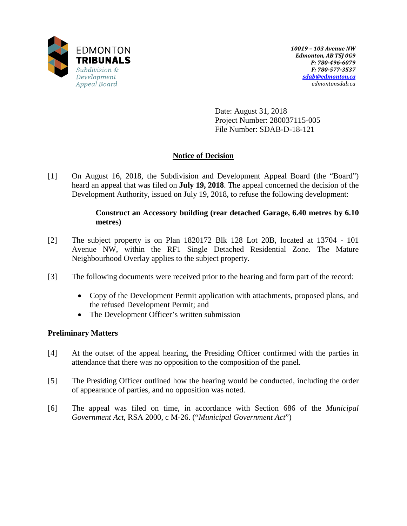

Date: August 31, 2018 Project Number: 280037115-005 File Number: SDAB-D-18-121

# **Notice of Decision**

[1] On August 16, 2018, the Subdivision and Development Appeal Board (the "Board") heard an appeal that was filed on **July 19, 2018**. The appeal concerned the decision of the Development Authority, issued on July 19, 2018, to refuse the following development:

## **Construct an Accessory building (rear detached Garage, 6.40 metres by 6.10 metres)**

- [2] The subject property is on Plan 1820172 Blk 128 Lot 20B, located at 13704 101 Avenue NW, within the RF1 Single Detached Residential Zone. The Mature Neighbourhood Overlay applies to the subject property.
- [3] The following documents were received prior to the hearing and form part of the record:
	- Copy of the Development Permit application with attachments, proposed plans, and the refused Development Permit; and
	- The Development Officer's written submission

## **Preliminary Matters**

- [4] At the outset of the appeal hearing, the Presiding Officer confirmed with the parties in attendance that there was no opposition to the composition of the panel.
- [5] The Presiding Officer outlined how the hearing would be conducted, including the order of appearance of parties, and no opposition was noted.
- [6] The appeal was filed on time, in accordance with Section 686 of the *Municipal Government Act*, RSA 2000, c M-26. ("*Municipal Government Act*")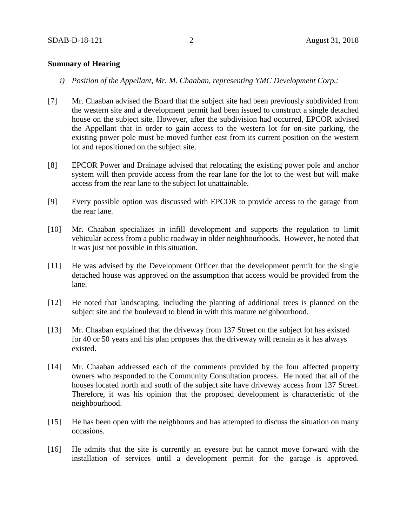### **Summary of Hearing**

- *i) Position of the Appellant, Mr. M. Chaaban, representing YMC Development Corp.:*
- [7] Mr. Chaaban advised the Board that the subject site had been previously subdivided from the western site and a development permit had been issued to construct a single detached house on the subject site. However, after the subdivision had occurred, EPCOR advised the Appellant that in order to gain access to the western lot for on-site parking, the existing power pole must be moved further east from its current position on the western lot and repositioned on the subject site.
- [8] EPCOR Power and Drainage advised that relocating the existing power pole and anchor system will then provide access from the rear lane for the lot to the west but will make access from the rear lane to the subject lot unattainable.
- [9] Every possible option was discussed with EPCOR to provide access to the garage from the rear lane.
- [10] Mr. Chaaban specializes in infill development and supports the regulation to limit vehicular access from a public roadway in older neighbourhoods. However, he noted that it was just not possible in this situation.
- [11] He was advised by the Development Officer that the development permit for the single detached house was approved on the assumption that access would be provided from the lane.
- [12] He noted that landscaping, including the planting of additional trees is planned on the subject site and the boulevard to blend in with this mature neighbourhood.
- [13] Mr. Chaaban explained that the driveway from 137 Street on the subject lot has existed for 40 or 50 years and his plan proposes that the driveway will remain as it has always existed.
- [14] Mr. Chaaban addressed each of the comments provided by the four affected property owners who responded to the Community Consultation process. He noted that all of the houses located north and south of the subject site have driveway access from 137 Street. Therefore, it was his opinion that the proposed development is characteristic of the neighbourhood.
- [15] He has been open with the neighbours and has attempted to discuss the situation on many occasions.
- [16] He admits that the site is currently an eyesore but he cannot move forward with the installation of services until a development permit for the garage is approved.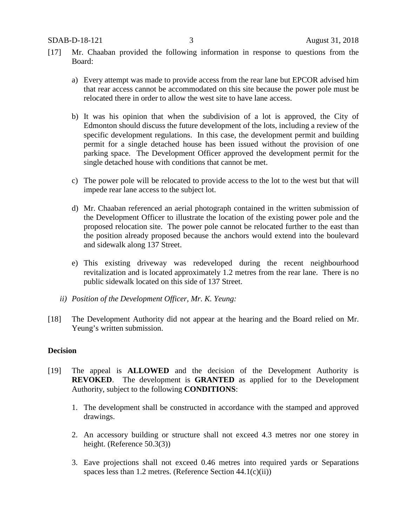- [17] Mr. Chaaban provided the following information in response to questions from the Board:
	- a) Every attempt was made to provide access from the rear lane but EPCOR advised him that rear access cannot be accommodated on this site because the power pole must be relocated there in order to allow the west site to have lane access.
	- b) It was his opinion that when the subdivision of a lot is approved, the City of Edmonton should discuss the future development of the lots, including a review of the specific development regulations. In this case, the development permit and building permit for a single detached house has been issued without the provision of one parking space. The Development Officer approved the development permit for the single detached house with conditions that cannot be met.
	- c) The power pole will be relocated to provide access to the lot to the west but that will impede rear lane access to the subject lot.
	- d) Mr. Chaaban referenced an aerial photograph contained in the written submission of the Development Officer to illustrate the location of the existing power pole and the proposed relocation site. The power pole cannot be relocated further to the east than the position already proposed because the anchors would extend into the boulevard and sidewalk along 137 Street.
	- e) This existing driveway was redeveloped during the recent neighbourhood revitalization and is located approximately 1.2 metres from the rear lane. There is no public sidewalk located on this side of 137 Street.
	- *ii) Position of the Development Officer, Mr. K. Yeung:*
- [18] The Development Authority did not appear at the hearing and the Board relied on Mr. Yeung's written submission.

## **Decision**

- [19] The appeal is **ALLOWED** and the decision of the Development Authority is **REVOKED**. The development is **GRANTED** as applied for to the Development Authority, subject to the following **CONDITIONS**:
	- 1. The development shall be constructed in accordance with the stamped and approved drawings.
	- 2. An accessory building or structure shall not exceed 4.3 metres nor one storey in height. (Reference 50.3(3))
	- 3. Eave projections shall not exceed 0.46 metres into required yards or Separations spaces less than 1.2 metres. (Reference Section  $44.1(c)(ii)$ )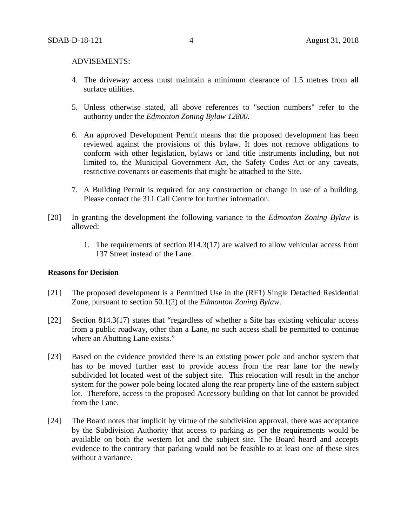#### ADVISEMENTS:

- 4. The driveway access must maintain a minimum clearance of 1.5 metres from all surface utilities.
- 5. Unless otherwise stated, all above references to "section numbers" refer to the authority under the *Edmonton Zoning Bylaw 12800*.
- 6. An approved Development Permit means that the proposed development has been reviewed against the provisions of this bylaw. It does not remove obligations to conform with other legislation, bylaws or land title instruments including, but not limited to, the Municipal Government Act, the Safety Codes Act or any caveats, restrictive covenants or easements that might be attached to the Site.
- 7. A Building Permit is required for any construction or change in use of a building. Please contact the 311 Call Centre for further information.
- [20] In granting the development the following variance to the *Edmonton Zoning Bylaw* is allowed:
	- 1. The requirements of section 814.3(17) are waived to allow vehicular access from 137 Street instead of the Lane.

#### **Reasons for Decision**

- [21] The proposed development is a Permitted Use in the (RF1) Single Detached Residential Zone, pursuant to section 50.1(2) of the *Edmonton Zoning Bylaw*.
- [22] Section 814.3(17) states that "regardless of whether a Site has existing vehicular access from a public roadway, other than a Lane, no such access shall be permitted to continue where an Abutting Lane exists."
- [23] Based on the evidence provided there is an existing power pole and anchor system that has to be moved further east to provide access from the rear lane for the newly subdivided lot located west of the subject site. This relocation will result in the anchor system for the power pole being located along the rear property line of the eastern subject lot. Therefore, access to the proposed Accessory building on that lot cannot be provided from the Lane.
- [24] The Board notes that implicit by virtue of the subdivision approval, there was acceptance by the Subdivision Authority that access to parking as per the requirements would be available on both the western lot and the subject site. The Board heard and accepts evidence to the contrary that parking would not be feasible to at least one of these sites without a variance.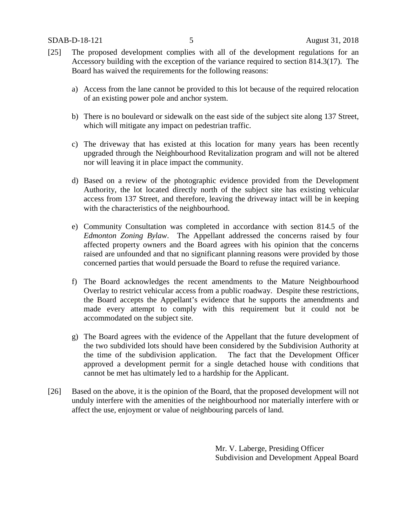- [25] The proposed development complies with all of the development regulations for an Accessory building with the exception of the variance required to section 814.3(17). The Board has waived the requirements for the following reasons:
	- a) Access from the lane cannot be provided to this lot because of the required relocation of an existing power pole and anchor system.
	- b) There is no boulevard or sidewalk on the east side of the subject site along 137 Street, which will mitigate any impact on pedestrian traffic.
	- c) The driveway that has existed at this location for many years has been recently upgraded through the Neighbourhood Revitalization program and will not be altered nor will leaving it in place impact the community.
	- d) Based on a review of the photographic evidence provided from the Development Authority, the lot located directly north of the subject site has existing vehicular access from 137 Street, and therefore, leaving the driveway intact will be in keeping with the characteristics of the neighbourhood.
	- e) Community Consultation was completed in accordance with section 814.5 of the *Edmonton Zoning Bylaw*. The Appellant addressed the concerns raised by four affected property owners and the Board agrees with his opinion that the concerns raised are unfounded and that no significant planning reasons were provided by those concerned parties that would persuade the Board to refuse the required variance.
	- f) The Board acknowledges the recent amendments to the Mature Neighbourhood Overlay to restrict vehicular access from a public roadway. Despite these restrictions, the Board accepts the Appellant's evidence that he supports the amendments and made every attempt to comply with this requirement but it could not be accommodated on the subject site.
	- g) The Board agrees with the evidence of the Appellant that the future development of the two subdivided lots should have been considered by the Subdivision Authority at the time of the subdivision application. The fact that the Development Officer approved a development permit for a single detached house with conditions that cannot be met has ultimately led to a hardship for the Applicant.
- [26] Based on the above, it is the opinion of the Board, that the proposed development will not unduly interfere with the amenities of the neighbourhood nor materially interfere with or affect the use, enjoyment or value of neighbouring parcels of land.

Mr. V. Laberge, Presiding Officer Subdivision and Development Appeal Board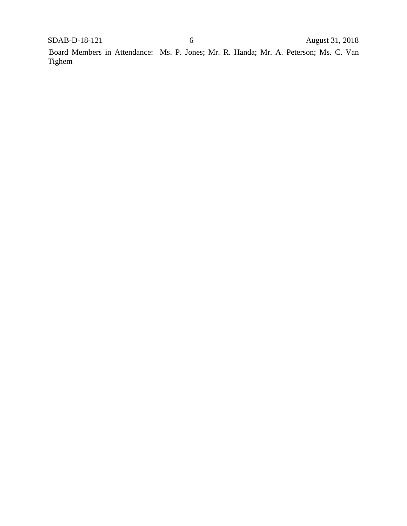Board Members in Attendance: Ms. P. Jones; Mr. R. Handa; Mr. A. Peterson; Ms. C. Van Tighem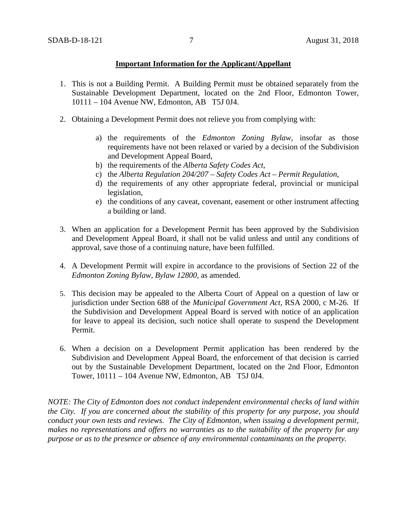### **Important Information for the Applicant/Appellant**

- 1. This is not a Building Permit. A Building Permit must be obtained separately from the Sustainable Development Department, located on the 2nd Floor, Edmonton Tower, 10111 – 104 Avenue NW, Edmonton, AB T5J 0J4.
- 2. Obtaining a Development Permit does not relieve you from complying with:
	- a) the requirements of the *Edmonton Zoning Bylaw*, insofar as those requirements have not been relaxed or varied by a decision of the Subdivision and Development Appeal Board,
	- b) the requirements of the *Alberta Safety Codes Act*,
	- c) the *Alberta Regulation 204/207 – Safety Codes Act – Permit Regulation*,
	- d) the requirements of any other appropriate federal, provincial or municipal legislation,
	- e) the conditions of any caveat, covenant, easement or other instrument affecting a building or land.
- 3. When an application for a Development Permit has been approved by the Subdivision and Development Appeal Board, it shall not be valid unless and until any conditions of approval, save those of a continuing nature, have been fulfilled.
- 4. A Development Permit will expire in accordance to the provisions of Section 22 of the *Edmonton Zoning Bylaw, Bylaw 12800*, as amended.
- 5. This decision may be appealed to the Alberta Court of Appeal on a question of law or jurisdiction under Section 688 of the *Municipal Government Act*, RSA 2000, c M-26. If the Subdivision and Development Appeal Board is served with notice of an application for leave to appeal its decision, such notice shall operate to suspend the Development Permit.
- 6. When a decision on a Development Permit application has been rendered by the Subdivision and Development Appeal Board, the enforcement of that decision is carried out by the Sustainable Development Department, located on the 2nd Floor, Edmonton Tower, 10111 – 104 Avenue NW, Edmonton, AB T5J 0J4.

*NOTE: The City of Edmonton does not conduct independent environmental checks of land within the City. If you are concerned about the stability of this property for any purpose, you should conduct your own tests and reviews. The City of Edmonton, when issuing a development permit, makes no representations and offers no warranties as to the suitability of the property for any purpose or as to the presence or absence of any environmental contaminants on the property.*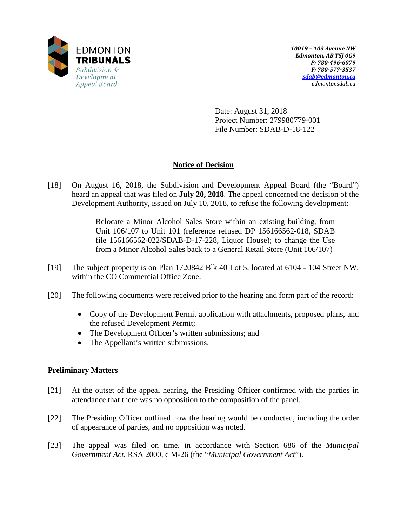

Date: August 31, 2018 Project Number: 279980779-001 File Number: SDAB-D-18-122

# **Notice of Decision**

[18] On August 16, 2018, the Subdivision and Development Appeal Board (the "Board") heard an appeal that was filed on **July 20, 2018**. The appeal concerned the decision of the Development Authority, issued on July 10, 2018, to refuse the following development:

> Relocate a Minor Alcohol Sales Store within an existing building, from Unit 106/107 to Unit 101 (reference refused DP 156166562-018, SDAB file 156166562-022/SDAB-D-17-228, Liquor House); to change the Use from a Minor Alcohol Sales back to a General Retail Store (Unit 106/107)

- [19] The subject property is on Plan 1720842 Blk 40 Lot 5, located at 6104 104 Street NW, within the CO Commercial Office Zone.
- [20] The following documents were received prior to the hearing and form part of the record:
	- Copy of the Development Permit application with attachments, proposed plans, and the refused Development Permit;
	- The Development Officer's written submissions; and
	- The Appellant's written submissions.

## **Preliminary Matters**

- [21] At the outset of the appeal hearing, the Presiding Officer confirmed with the parties in attendance that there was no opposition to the composition of the panel.
- [22] The Presiding Officer outlined how the hearing would be conducted, including the order of appearance of parties, and no opposition was noted.
- [23] The appeal was filed on time, in accordance with Section 686 of the *Municipal Government Act*, RSA 2000, c M-26 (the "*Municipal Government Act*").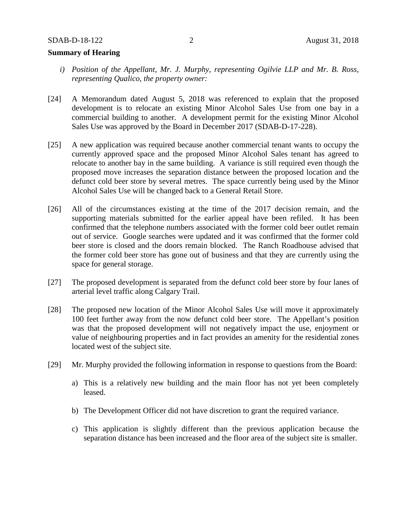## **Summary of Hearing**

- *i) Position of the Appellant, Mr. J. Murphy, representing Ogilvie LLP and Mr. B. Ross, representing Qualico, the property owner:*
- [24] A Memorandum dated August 5, 2018 was referenced to explain that the proposed development is to relocate an existing Minor Alcohol Sales Use from one bay in a commercial building to another. A development permit for the existing Minor Alcohol Sales Use was approved by the Board in December 2017 (SDAB-D-17-228).
- [25] A new application was required because another commercial tenant wants to occupy the currently approved space and the proposed Minor Alcohol Sales tenant has agreed to relocate to another bay in the same building. A variance is still required even though the proposed move increases the separation distance between the proposed location and the defunct cold beer store by several metres. The space currently being used by the Minor Alcohol Sales Use will be changed back to a General Retail Store.
- [26] All of the circumstances existing at the time of the 2017 decision remain, and the supporting materials submitted for the earlier appeal have been refiled. It has been confirmed that the telephone numbers associated with the former cold beer outlet remain out of service. Google searches were updated and it was confirmed that the former cold beer store is closed and the doors remain blocked. The Ranch Roadhouse advised that the former cold beer store has gone out of business and that they are currently using the space for general storage.
- [27] The proposed development is separated from the defunct cold beer store by four lanes of arterial level traffic along Calgary Trail.
- [28] The proposed new location of the Minor Alcohol Sales Use will move it approximately 100 feet further away from the now defunct cold beer store. The Appellant's position was that the proposed development will not negatively impact the use, enjoyment or value of neighbouring properties and in fact provides an amenity for the residential zones located west of the subject site.
- [29] Mr. Murphy provided the following information in response to questions from the Board:
	- a) This is a relatively new building and the main floor has not yet been completely leased.
	- b) The Development Officer did not have discretion to grant the required variance.
	- c) This application is slightly different than the previous application because the separation distance has been increased and the floor area of the subject site is smaller.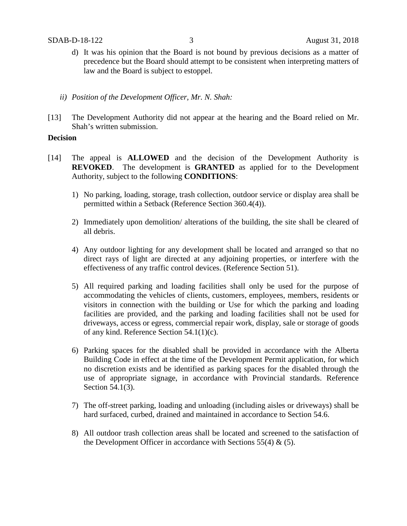- d) It was his opinion that the Board is not bound by previous decisions as a matter of precedence but the Board should attempt to be consistent when interpreting matters of law and the Board is subject to estoppel.
- *ii) Position of the Development Officer, Mr. N. Shah:*
- [13] The Development Authority did not appear at the hearing and the Board relied on Mr. Shah's written submission.

### **Decision**

- [14] The appeal is **ALLOWED** and the decision of the Development Authority is **REVOKED**. The development is **GRANTED** as applied for to the Development Authority, subject to the following **CONDITIONS**:
	- 1) No parking, loading, storage, trash collection, outdoor service or display area shall be permitted within a Setback (Reference Section 360.4(4)).
	- 2) Immediately upon demolition/ alterations of the building, the site shall be cleared of all debris.
	- 4) Any outdoor lighting for any development shall be located and arranged so that no direct rays of light are directed at any adjoining properties, or interfere with the effectiveness of any traffic control devices. (Reference Section 51).
	- 5) All required parking and loading facilities shall only be used for the purpose of accommodating the vehicles of clients, customers, employees, members, residents or visitors in connection with the building or Use for which the parking and loading facilities are provided, and the parking and loading facilities shall not be used for driveways, access or egress, commercial repair work, display, sale or storage of goods of any kind. Reference Section 54.1(1)(c).
	- 6) Parking spaces for the disabled shall be provided in accordance with the Alberta Building Code in effect at the time of the Development Permit application, for which no discretion exists and be identified as parking spaces for the disabled through the use of appropriate signage, in accordance with Provincial standards. Reference Section 54.1(3).
	- 7) The off-street parking, loading and unloading (including aisles or driveways) shall be hard surfaced, curbed, drained and maintained in accordance to Section 54.6.
	- 8) All outdoor trash collection areas shall be located and screened to the satisfaction of the Development Officer in accordance with Sections  $55(4)$  &  $(5)$ .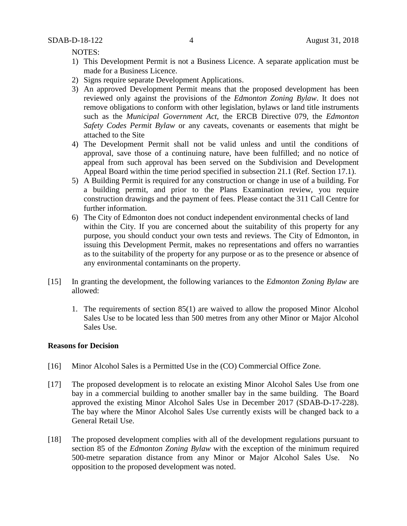NOTES:

- 1) This Development Permit is not a Business Licence. A separate application must be made for a Business Licence.
- 2) Signs require separate Development Applications.
- 3) An approved Development Permit means that the proposed development has been reviewed only against the provisions of the *Edmonton Zoning Bylaw*. It does not remove obligations to conform with other legislation, bylaws or land title instruments such as the *Municipal Government Act*, the ERCB Directive 079, the *Edmonton Safety Codes Permit Bylaw* or any caveats, covenants or easements that might be attached to the Site
- 4) The Development Permit shall not be valid unless and until the conditions of approval, save those of a continuing nature, have been fulfilled; and no notice of appeal from such approval has been served on the Subdivision and Development Appeal Board within the time period specified in subsection 21.1 (Ref. Section 17.1).
- 5) A Building Permit is required for any construction or change in use of a building. For a building permit, and prior to the Plans Examination review, you require construction drawings and the payment of fees. Please contact the 311 Call Centre for further information.
- 6) The City of Edmonton does not conduct independent environmental checks of land within the City. If you are concerned about the suitability of this property for any purpose, you should conduct your own tests and reviews. The City of Edmonton, in issuing this Development Permit, makes no representations and offers no warranties as to the suitability of the property for any purpose or as to the presence or absence of any environmental contaminants on the property.
- [15] In granting the development, the following variances to the *Edmonton Zoning Bylaw* are allowed:
	- 1. The requirements of section 85(1) are waived to allow the proposed Minor Alcohol Sales Use to be located less than 500 metres from any other Minor or Major Alcohol Sales Use.

### **Reasons for Decision**

- [16] Minor Alcohol Sales is a Permitted Use in the (CO) Commercial Office Zone.
- [17] The proposed development is to relocate an existing Minor Alcohol Sales Use from one bay in a commercial building to another smaller bay in the same building. The Board approved the existing Minor Alcohol Sales Use in December 2017 (SDAB-D-17-228). The bay where the Minor Alcohol Sales Use currently exists will be changed back to a General Retail Use.
- [18] The proposed development complies with all of the development regulations pursuant to section 85 of the *Edmonton Zoning Bylaw* with the exception of the minimum required 500-metre separation distance from any Minor or Major Alcohol Sales Use. No opposition to the proposed development was noted.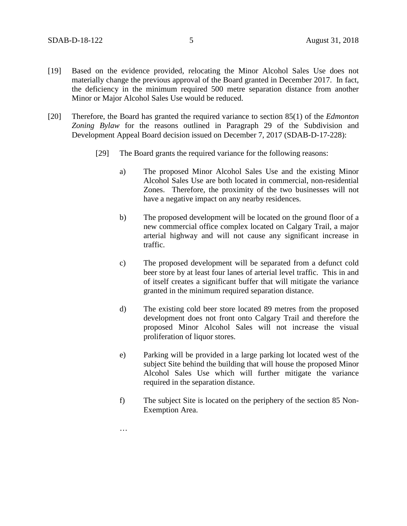- [19] Based on the evidence provided, relocating the Minor Alcohol Sales Use does not materially change the previous approval of the Board granted in December 2017. In fact, the deficiency in the minimum required 500 metre separation distance from another Minor or Major Alcohol Sales Use would be reduced.
- [20] Therefore, the Board has granted the required variance to section 85(1) of the *Edmonton Zoning Bylaw* for the reasons outlined in Paragraph 29 of the Subdivision and Development Appeal Board decision issued on December 7, 2017 (SDAB-D-17-228):
	- [29] The Board grants the required variance for the following reasons:
		- a) The proposed Minor Alcohol Sales Use and the existing Minor Alcohol Sales Use are both located in commercial, non-residential Zones. Therefore, the proximity of the two businesses will not have a negative impact on any nearby residences.
		- b) The proposed development will be located on the ground floor of a new commercial office complex located on Calgary Trail, a major arterial highway and will not cause any significant increase in traffic.
		- c) The proposed development will be separated from a defunct cold beer store by at least four lanes of arterial level traffic. This in and of itself creates a significant buffer that will mitigate the variance granted in the minimum required separation distance.
		- d) The existing cold beer store located 89 metres from the proposed development does not front onto Calgary Trail and therefore the proposed Minor Alcohol Sales will not increase the visual proliferation of liquor stores.
		- e) Parking will be provided in a large parking lot located west of the subject Site behind the building that will house the proposed Minor Alcohol Sales Use which will further mitigate the variance required in the separation distance.
		- f) The subject Site is located on the periphery of the section 85 Non-Exemption Area.

…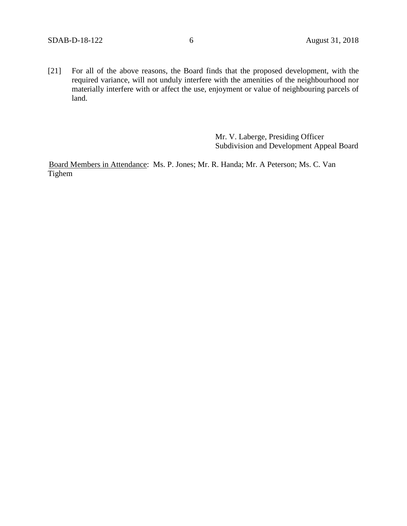[21] For all of the above reasons, the Board finds that the proposed development, with the required variance, will not unduly interfere with the amenities of the neighbourhood nor materially interfere with or affect the use, enjoyment or value of neighbouring parcels of land.

> Mr. V. Laberge, Presiding Officer Subdivision and Development Appeal Board

Board Members in Attendance: Ms. P. Jones; Mr. R. Handa; Mr. A Peterson; Ms. C. Van Tighem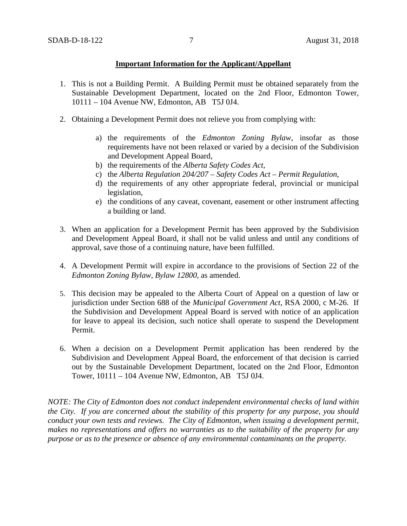### **Important Information for the Applicant/Appellant**

- 1. This is not a Building Permit. A Building Permit must be obtained separately from the Sustainable Development Department, located on the 2nd Floor, Edmonton Tower, 10111 – 104 Avenue NW, Edmonton, AB T5J 0J4.
- 2. Obtaining a Development Permit does not relieve you from complying with:
	- a) the requirements of the *Edmonton Zoning Bylaw*, insofar as those requirements have not been relaxed or varied by a decision of the Subdivision and Development Appeal Board,
	- b) the requirements of the *Alberta Safety Codes Act*,
	- c) the *Alberta Regulation 204/207 – Safety Codes Act – Permit Regulation*,
	- d) the requirements of any other appropriate federal, provincial or municipal legislation,
	- e) the conditions of any caveat, covenant, easement or other instrument affecting a building or land.
- 3. When an application for a Development Permit has been approved by the Subdivision and Development Appeal Board, it shall not be valid unless and until any conditions of approval, save those of a continuing nature, have been fulfilled.
- 4. A Development Permit will expire in accordance to the provisions of Section 22 of the *Edmonton Zoning Bylaw, Bylaw 12800*, as amended.
- 5. This decision may be appealed to the Alberta Court of Appeal on a question of law or jurisdiction under Section 688 of the *Municipal Government Act*, RSA 2000, c M-26. If the Subdivision and Development Appeal Board is served with notice of an application for leave to appeal its decision, such notice shall operate to suspend the Development Permit.
- 6. When a decision on a Development Permit application has been rendered by the Subdivision and Development Appeal Board, the enforcement of that decision is carried out by the Sustainable Development Department, located on the 2nd Floor, Edmonton Tower, 10111 – 104 Avenue NW, Edmonton, AB T5J 0J4.

*NOTE: The City of Edmonton does not conduct independent environmental checks of land within the City. If you are concerned about the stability of this property for any purpose, you should conduct your own tests and reviews. The City of Edmonton, when issuing a development permit, makes no representations and offers no warranties as to the suitability of the property for any purpose or as to the presence or absence of any environmental contaminants on the property.*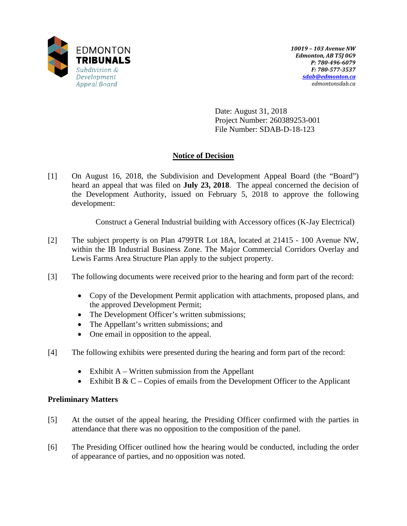

Date: August 31, 2018 Project Number: 260389253-001 File Number: SDAB-D-18-123

# **Notice of Decision**

[1] On August 16, 2018, the Subdivision and Development Appeal Board (the "Board") heard an appeal that was filed on **July 23, 2018**. The appeal concerned the decision of the Development Authority, issued on February 5, 2018 to approve the following development:

Construct a General Industrial building with Accessory offices (K-Jay Electrical)

- [2] The subject property is on Plan 4799TR Lot 18A, located at 21415 100 Avenue NW, within the IB Industrial Business Zone. The Major Commercial Corridors Overlay and Lewis Farms Area Structure Plan apply to the subject property.
- [3] The following documents were received prior to the hearing and form part of the record:
	- Copy of the Development Permit application with attachments, proposed plans, and the approved Development Permit;
	- The Development Officer's written submissions;
	- The Appellant's written submissions; and
	- One email in opposition to the appeal.
- [4] The following exhibits were presented during the hearing and form part of the record:
	- Exhibit  $A W$ ritten submission from the Appellant
	- Exhibit B & C Copies of emails from the Development Officer to the Applicant

## **Preliminary Matters**

- [5] At the outset of the appeal hearing, the Presiding Officer confirmed with the parties in attendance that there was no opposition to the composition of the panel.
- [6] The Presiding Officer outlined how the hearing would be conducted, including the order of appearance of parties, and no opposition was noted.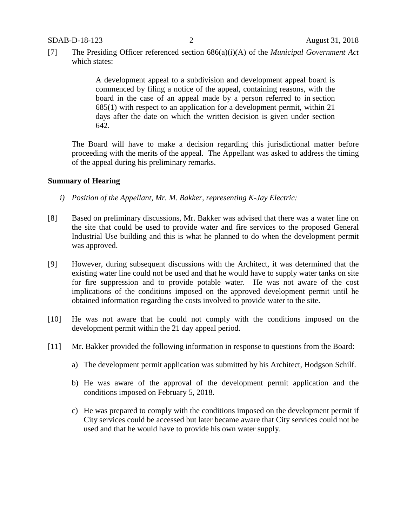[7] The Presiding Officer referenced section 686(a)(i)(A) of the *Municipal Government Act* which states:

> A development appeal to a subdivision and development appeal board is commenced by filing a notice of the appeal, containing reasons, with the board in the case of an appeal made by a person referred to in section 685(1) with respect to an application for a development permit, within 21 days after the date on which the written decision is given under section 642.

The Board will have to make a decision regarding this jurisdictional matter before proceeding with the merits of the appeal. The Appellant was asked to address the timing of the appeal during his preliminary remarks.

### **Summary of Hearing**

- *i) Position of the Appellant, Mr. M. Bakker, representing K-Jay Electric:*
- [8] Based on preliminary discussions, Mr. Bakker was advised that there was a water line on the site that could be used to provide water and fire services to the proposed General Industrial Use building and this is what he planned to do when the development permit was approved.
- [9] However, during subsequent discussions with the Architect, it was determined that the existing water line could not be used and that he would have to supply water tanks on site for fire suppression and to provide potable water. He was not aware of the cost implications of the conditions imposed on the approved development permit until he obtained information regarding the costs involved to provide water to the site.
- [10] He was not aware that he could not comply with the conditions imposed on the development permit within the 21 day appeal period.
- [11] Mr. Bakker provided the following information in response to questions from the Board:
	- a) The development permit application was submitted by his Architect, Hodgson Schilf.
	- b) He was aware of the approval of the development permit application and the conditions imposed on February 5, 2018.
	- c) He was prepared to comply with the conditions imposed on the development permit if City services could be accessed but later became aware that City services could not be used and that he would have to provide his own water supply.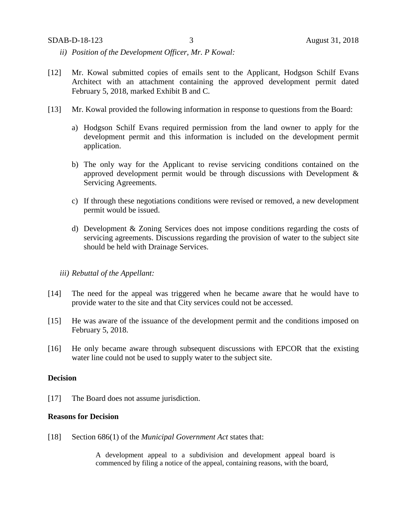- *ii) Position of the Development Officer, Mr. P Kowal:*
- [12] Mr. Kowal submitted copies of emails sent to the Applicant, Hodgson Schilf Evans Architect with an attachment containing the approved development permit dated February 5, 2018, marked Exhibit B and C.
- [13] Mr. Kowal provided the following information in response to questions from the Board:
	- a) Hodgson Schilf Evans required permission from the land owner to apply for the development permit and this information is included on the development permit application.
	- b) The only way for the Applicant to revise servicing conditions contained on the approved development permit would be through discussions with Development & Servicing Agreements.
	- c) If through these negotiations conditions were revised or removed, a new development permit would be issued.
	- d) Development & Zoning Services does not impose conditions regarding the costs of servicing agreements. Discussions regarding the provision of water to the subject site should be held with Drainage Services.

### *iii) Rebuttal of the Appellant:*

- [14] The need for the appeal was triggered when he became aware that he would have to provide water to the site and that City services could not be accessed.
- [15] He was aware of the issuance of the development permit and the conditions imposed on February 5, 2018.
- [16] He only became aware through subsequent discussions with EPCOR that the existing water line could not be used to supply water to the subject site.

### **Decision**

[17] The Board does not assume jurisdiction.

#### **Reasons for Decision**

[18] Section 686(1) of the *Municipal Government Act* states that:

A development appeal to a subdivision and development appeal board is commenced by filing a notice of the appeal, containing reasons, with the board,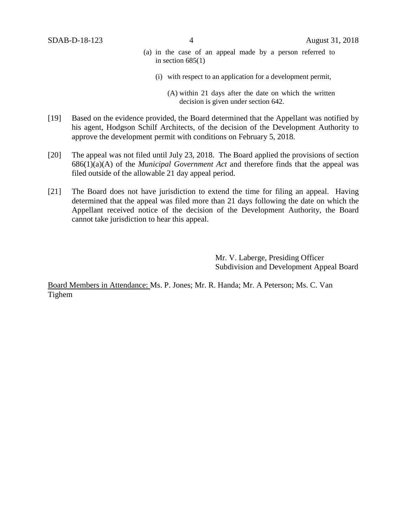- (a) in the case of an appeal made by a person referred to in section  $685(1)$ 
	- (i) with respect to an application for a development permit,

- [19] Based on the evidence provided, the Board determined that the Appellant was notified by his agent, Hodgson Schilf Architects, of the decision of the Development Authority to approve the development permit with conditions on February 5, 2018.
- [20] The appeal was not filed until July 23, 2018. The Board applied the provisions of section 686(1)(a)(A) of the *Municipal Government Act* and therefore finds that the appeal was filed outside of the allowable 21 day appeal period.
- [21] The Board does not have jurisdiction to extend the time for filing an appeal. Having determined that the appeal was filed more than 21 days following the date on which the Appellant received notice of the decision of the Development Authority, the Board cannot take jurisdiction to hear this appeal.

Mr. V. Laberge, Presiding Officer Subdivision and Development Appeal Board

Board Members in Attendance: Ms. P. Jones; Mr. R. Handa; Mr. A Peterson; Ms. C. Van Tighem

<sup>(</sup>A) within 21 days after the date on which the written decision is given under section 642.